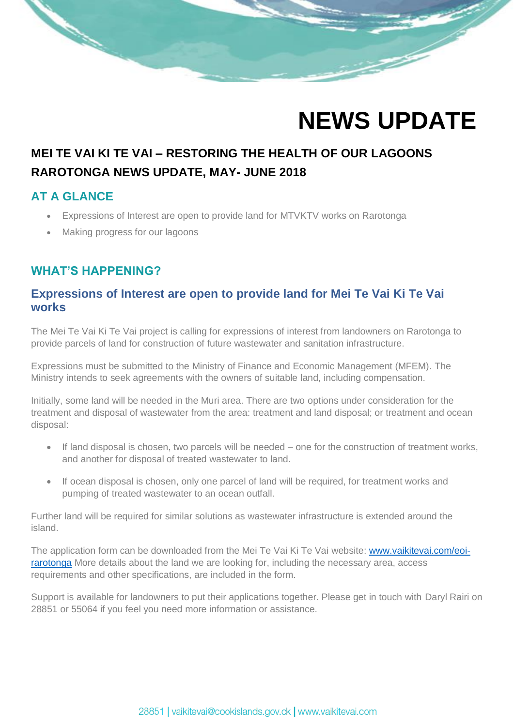

# **MEI TE VAI KI TE VAI – RESTORING THE HEALTH OF OUR LAGOONS RAROTONGA NEWS UPDATE, MAY- JUNE 2018**

### **AT A GLANCE**

- Expressions of Interest are open to provide land for MTVKTV works on Rarotonga
- Making progress for our lagoons

## **WHAT'S HAPPENING?**

### **Expressions of Interest are open to provide land for Mei Te Vai Ki Te Vai works**

The Mei Te Vai Ki Te Vai project is calling for expressions of interest from landowners on Rarotonga to provide parcels of land for construction of future wastewater and sanitation infrastructure.

Expressions must be submitted to the Ministry of Finance and Economic Management (MFEM). The Ministry intends to seek agreements with the owners of suitable land, including compensation.

Initially, some land will be needed in the Muri area. There are two options under consideration for the treatment and disposal of wastewater from the area: treatment and land disposal; or treatment and ocean disposal:

- If land disposal is chosen, two parcels will be needed one for the construction of treatment works, and another for disposal of treated wastewater to land.
- If ocean disposal is chosen, only one parcel of land will be required, for treatment works and pumping of treated wastewater to an ocean outfall.

Further land will be required for similar solutions as wastewater infrastructure is extended around the island.

The application form can be downloaded from the Mei Te Vai Ki Te Vai website: [www.vaikitevai.com/eoi](http://www.vaikitevai.com/eoi-rarotonga)[rarotonga](http://www.vaikitevai.com/eoi-rarotonga) More details about the land we are looking for, including the necessary area, access requirements and other specifications, are included in the form.

Support is available for landowners to put their applications together. Please get in touch with Daryl Rairi on 28851 or 55064 if you feel you need more information or assistance.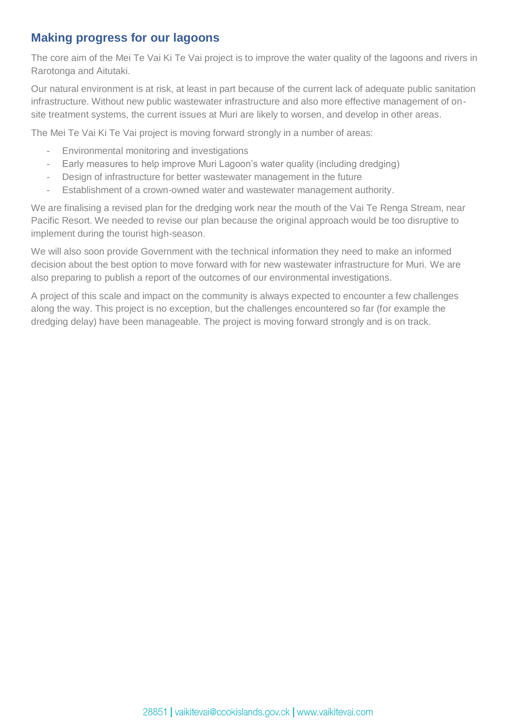### **Making progress for our lagoons**

The core aim of the Mei Te Vai Ki Te Vai project is to improve the water quality of the lagoons and rivers in Rarotonga and Aitutaki.

Our natural environment is at risk, at least in part because of the current lack of adequate public sanitation infrastructure. Without new public wastewater infrastructure and also more effective management of onsite treatment systems, the current issues at Muri are likely to worsen, and develop in other areas.

The Mei Te Vai Ki Te Vai project is moving forward strongly in a number of areas:

- Environmental monitoring and investigations
- Early measures to help improve Muri Lagoon's water quality (including dredging)
- Design of infrastructure for better wastewater management in the future
- Establishment of a crown-owned water and wastewater management authority.

We are finalising a revised plan for the dredging work near the mouth of the Vai Te Renga Stream, near Pacific Resort. We needed to revise our plan because the original approach would be too disruptive to implement during the tourist high-season.

We will also soon provide Government with the technical information they need to make an informed decision about the best option to move forward with for new wastewater infrastructure for Muri. We are also preparing to publish a report of the outcomes of our environmental investigations.

A project of this scale and impact on the community is always expected to encounter a few challenges along the way. This project is no exception, but the challenges encountered so far (for example the dredging delay) have been manageable. The project is moving forward strongly and is on track.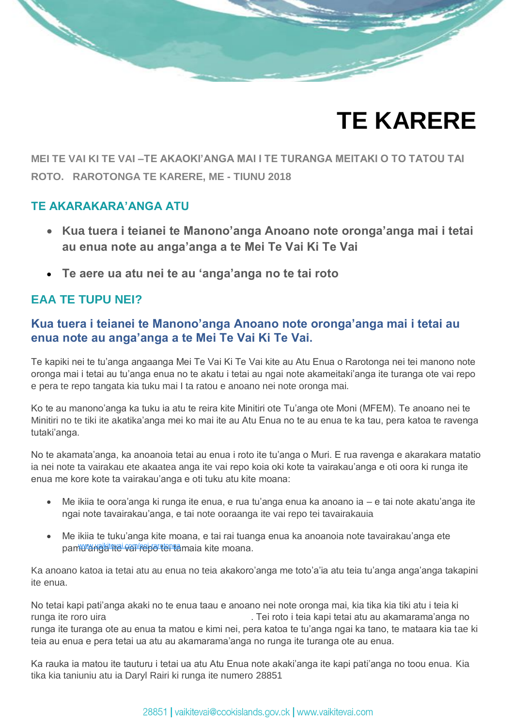# **TE KARERE**

**MEI TE VAI KI TE VAI –TE AKAOKI'ANGA MAI I TE TURANGA MEITAKI O TO TATOU TAI ROTO. RAROTONGA TE KARERE, ME - TIUNU 2018**

#### **TE AKARAKARA'ANGA ATU**

- **Kua tuera i teianei te Manono'anga Anoano note oronga'anga mai i tetai au enua note au anga'anga a te Mei Te Vai Ki Te Vai**
- **Te aere ua atu nei te au 'anga'anga no te tai roto**

### **EAA TE TUPU NEI?**

### **Kua tuera i teianei te Manono'anga Anoano note oronga'anga mai i tetai au enua note au anga'anga a te Mei Te Vai Ki Te Vai.**

Te kapiki nei te tu'anga angaanga Mei Te Vai Ki Te Vai kite au Atu Enua o Rarotonga nei tei manono note oronga mai i tetai au tu'anga enua no te akatu i tetai au ngai note akameitaki'anga ite turanga ote vai repo e pera te repo tangata kia tuku mai I ta ratou e anoano nei note oronga mai.

Ko te au manono'anga ka tuku ia atu te reira kite Minitiri ote Tu'anga ote Moni (MFEM). Te anoano nei te Minitiri no te tiki ite akatika'anga mei ko mai ite au Atu Enua no te au enua te ka tau, pera katoa te ravenga tutaki'anga.

No te akamata'anga, ka anoanoia tetai au enua i roto ite tu'anga o Muri. E rua ravenga e akarakara matatio ia nei note ta vairakau ete akaatea anga ite vai repo koia oki kote ta vairakau'anga e oti oora ki runga ite enua me kore kote ta vairakau'anga e oti tuku atu kite moana:

- Me ikiia te oora'anga ki runga ite enua, e rua tu'anga enua ka anoano ia e tai note akatu'anga ite ngai note tavairakau'anga, e tai note ooraanga ite vai repo tei tavairakauia
- Me ikiia te tuku'anga kite moana, e tai rai tuanga enua ka anoanoia note tavairakau'anga ete pamwa wakitatai cam/repo tertamaia kite moana.

Ka anoano katoa ia tetai atu au enua no teia akakoro'anga me toto'a'ia atu teia tu'anga anga'anga takapini ite enua.

No tetai kapi pati'anga akaki no te enua taau e anoano nei note oronga mai, kia tika kia tiki atu i teia ki runga ite roro uira [.](http://www.vaikitevai.com/eoi-rarotonga) Tei roto i teia kapi tetai atu au akamarama'anga no runga ite turanga ote au enua ta matou e kimi nei, pera katoa te tu'anga ngai ka tano, te mataara kia tae ki teia au enua e pera tetai ua atu au akamarama'anga no runga ite turanga ote au enua.

Ka rauka ia matou ite tauturu i tetai ua atu Atu Enua note akaki'anga ite kapi pati'anga no toou enua. Kia tika kia taniuniu atu ia Daryl Rairi ki runga ite numero 28851